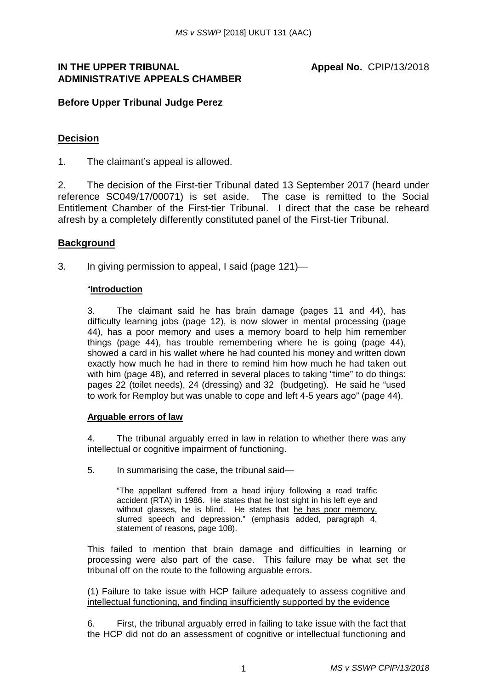## **IN THE UPPER TRIBUNAL ADMINISTRATIVE APPEALS CHAMBER**

## **Before Upper Tribunal Judge Perez**

## **Decision**

1. The claimant's appeal is allowed.

2. The decision of the First-tier Tribunal dated 13 September 2017 (heard under reference SC049/17/00071) is set aside. The case is remitted to the Social Entitlement Chamber of the First-tier Tribunal. I direct that the case be reheard afresh by a completely differently constituted panel of the First-tier Tribunal.

### **Background**

3. In giving permission to appeal, I said (page 121)—

#### "**Introduction**

3. The claimant said he has brain damage (pages 11 and 44), has difficulty learning jobs (page 12), is now slower in mental processing (page 44), has a poor memory and uses a memory board to help him remember things (page 44), has trouble remembering where he is going (page 44), showed a card in his wallet where he had counted his money and written down exactly how much he had in there to remind him how much he had taken out with him (page 48), and referred in several places to taking "time" to do things: pages 22 (toilet needs), 24 (dressing) and 32 (budgeting). He said he "used to work for Remploy but was unable to cope and left 4-5 years ago" (page 44).

#### **Arguable errors of law**

4. The tribunal arguably erred in law in relation to whether there was any intellectual or cognitive impairment of functioning.

5. In summarising the case, the tribunal said—

"The appellant suffered from a head injury following a road traffic accident (RTA) in 1986. He states that he lost sight in his left eye and without glasses, he is blind. He states that he has poor memory, slurred speech and depression." (emphasis added, paragraph 4, statement of reasons, page 108).

This failed to mention that brain damage and difficulties in learning or processing were also part of the case. This failure may be what set the tribunal off on the route to the following arguable errors.

(1) Failure to take issue with HCP failure adequately to assess cognitive and intellectual functioning, and finding insufficiently supported by the evidence

6. First, the tribunal arguably erred in failing to take issue with the fact that the HCP did not do an assessment of cognitive or intellectual functioning and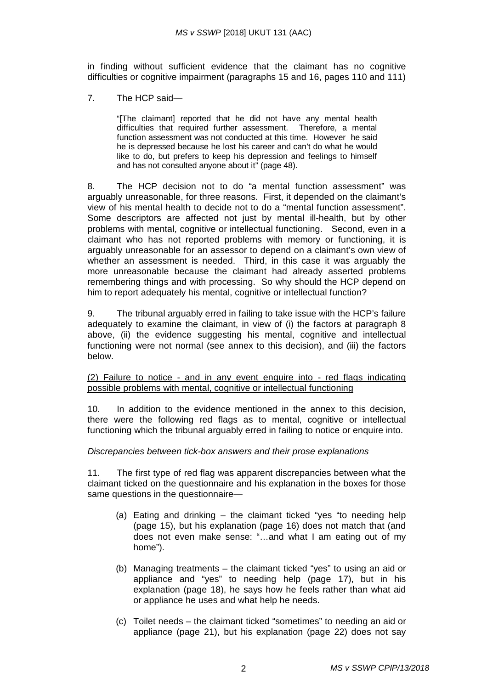in finding without sufficient evidence that the claimant has no cognitive difficulties or cognitive impairment (paragraphs 15 and 16, pages 110 and 111)

7. The HCP said—

"[The claimant] reported that he did not have any mental health difficulties that required further assessment. Therefore, a mental function assessment was not conducted at this time. However he said he is depressed because he lost his career and can't do what he would like to do, but prefers to keep his depression and feelings to himself and has not consulted anyone about it" (page 48).

8. The HCP decision not to do "a mental function assessment" was arguably unreasonable, for three reasons. First, it depended on the claimant's view of his mental health to decide not to do a "mental function assessment". Some descriptors are affected not just by mental ill-health, but by other problems with mental, cognitive or intellectual functioning. Second, even in a claimant who has not reported problems with memory or functioning, it is arguably unreasonable for an assessor to depend on a claimant's own view of whether an assessment is needed. Third, in this case it was arguably the more unreasonable because the claimant had already asserted problems remembering things and with processing. So why should the HCP depend on him to report adequately his mental, cognitive or intellectual function?

9. The tribunal arguably erred in failing to take issue with the HCP's failure adequately to examine the claimant, in view of (i) the factors at paragraph 8 above, (ii) the evidence suggesting his mental, cognitive and intellectual functioning were not normal (see annex to this decision), and (iii) the factors below.

(2) Failure to notice - and in any event enquire into - red flags indicating possible problems with mental, cognitive or intellectual functioning

10. In addition to the evidence mentioned in the annex to this decision, there were the following red flags as to mental, cognitive or intellectual functioning which the tribunal arguably erred in failing to notice or enquire into.

#### *Discrepancies between tick-box answers and their prose explanations*

11. The first type of red flag was apparent discrepancies between what the claimant ticked on the questionnaire and his explanation in the boxes for those same questions in the questionnaire—

- (a) Eating and drinking the claimant ticked "yes "to needing help (page 15), but his explanation (page 16) does not match that (and does not even make sense: "…and what I am eating out of my home").
- (b) Managing treatments the claimant ticked "yes" to using an aid or appliance and "yes" to needing help (page 17), but in his explanation (page 18), he says how he feels rather than what aid or appliance he uses and what help he needs.
- (c) Toilet needs the claimant ticked "sometimes" to needing an aid or appliance (page 21), but his explanation (page 22) does not say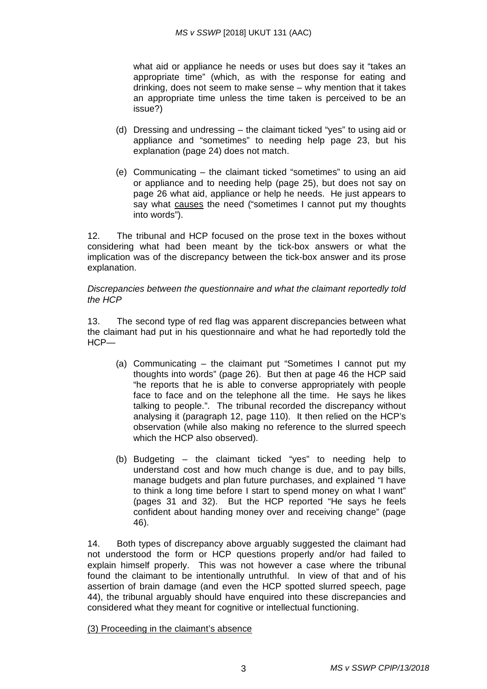what aid or appliance he needs or uses but does say it "takes an appropriate time" (which, as with the response for eating and drinking, does not seem to make sense – why mention that it takes an appropriate time unless the time taken is perceived to be an issue?)

- (d) Dressing and undressing the claimant ticked "yes" to using aid or appliance and "sometimes" to needing help page 23, but his explanation (page 24) does not match.
- (e) Communicating the claimant ticked "sometimes" to using an aid or appliance and to needing help (page 25), but does not say on page 26 what aid, appliance or help he needs. He just appears to say what causes the need ("sometimes I cannot put my thoughts into words").

12. The tribunal and HCP focused on the prose text in the boxes without considering what had been meant by the tick-box answers or what the implication was of the discrepancy between the tick-box answer and its prose explanation.

*Discrepancies between the questionnaire and what the claimant reportedly told the HCP*

13. The second type of red flag was apparent discrepancies between what the claimant had put in his questionnaire and what he had reportedly told the HCP—

- (a) Communicating the claimant put "Sometimes I cannot put my thoughts into words" (page 26). But then at page 46 the HCP said "he reports that he is able to converse appropriately with people face to face and on the telephone all the time. He says he likes talking to people.". The tribunal recorded the discrepancy without analysing it (paragraph 12, page 110). It then relied on the HCP's observation (while also making no reference to the slurred speech which the HCP also observed).
- (b) Budgeting the claimant ticked "yes" to needing help to understand cost and how much change is due, and to pay bills, manage budgets and plan future purchases, and explained "I have to think a long time before I start to spend money on what I want" (pages 31 and 32). But the HCP reported "He says he feels confident about handing money over and receiving change" (page 46).

14. Both types of discrepancy above arguably suggested the claimant had not understood the form or HCP questions properly and/or had failed to explain himself properly. This was not however a case where the tribunal found the claimant to be intentionally untruthful. In view of that and of his assertion of brain damage (and even the HCP spotted slurred speech, page 44), the tribunal arguably should have enquired into these discrepancies and considered what they meant for cognitive or intellectual functioning.

(3) Proceeding in the claimant's absence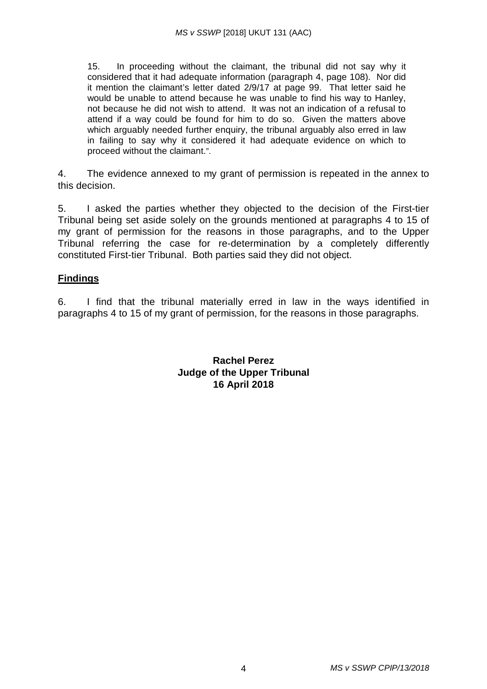15. In proceeding without the claimant, the tribunal did not say why it considered that it had adequate information (paragraph 4, page 108). Nor did it mention the claimant's letter dated 2/9/17 at page 99. That letter said he would be unable to attend because he was unable to find his way to Hanley, not because he did not wish to attend. It was not an indication of a refusal to attend if a way could be found for him to do so. Given the matters above which arguably needed further enquiry, the tribunal arguably also erred in law in failing to say why it considered it had adequate evidence on which to proceed without the claimant.".

4. The evidence annexed to my grant of permission is repeated in the annex to this decision.

5. I asked the parties whether they objected to the decision of the First-tier Tribunal being set aside solely on the grounds mentioned at paragraphs 4 to 15 of my grant of permission for the reasons in those paragraphs, and to the Upper Tribunal referring the case for re-determination by a completely differently constituted First-tier Tribunal. Both parties said they did not object.

# **Findings**

6. I find that the tribunal materially erred in law in the ways identified in paragraphs 4 to 15 of my grant of permission, for the reasons in those paragraphs.

> **Rachel Perez Judge of the Upper Tribunal 16 April 2018**